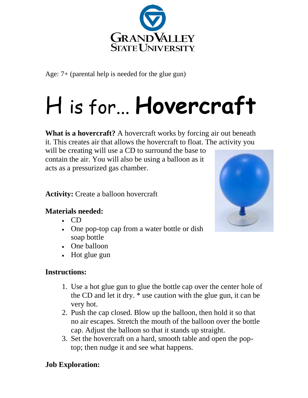

Age: 7+ (parental help is needed for the glue gun)

# H is for... **Hovercraft**

**What is a hovercraft?** A hovercraft works by forcing air out beneath it. This creates air that allows the hovercraft to float. The activity you

will be creating will use a CD to surround the base to contain the air. You will also be using a balloon as it acts as a pressurized gas chamber.

**Activity:** Create a balloon hovercraft

#### **Materials needed:**

- CD
- One pop-top cap from a water bottle or dish soap bottle
- One [balloon](https://www.homesciencetools.com/product/balloon-set-9-piece/)
- Hot glue gun

## **Instructions:**

- 1. Use a hot glue gun to glue the bottle cap over the center hole of the CD and let it dry. \* use caution with the glue gun, it can be very hot.
- 2. Push the cap closed. Blow up the balloon, then hold it so that no air escapes. Stretch the mouth of the balloon over the bottle cap. Adjust the balloon so that it stands up straight.
- 3. Set the hovercraft on a hard, smooth table and open the poptop; then nudge it and see what happens.

## **Job Exploration:**